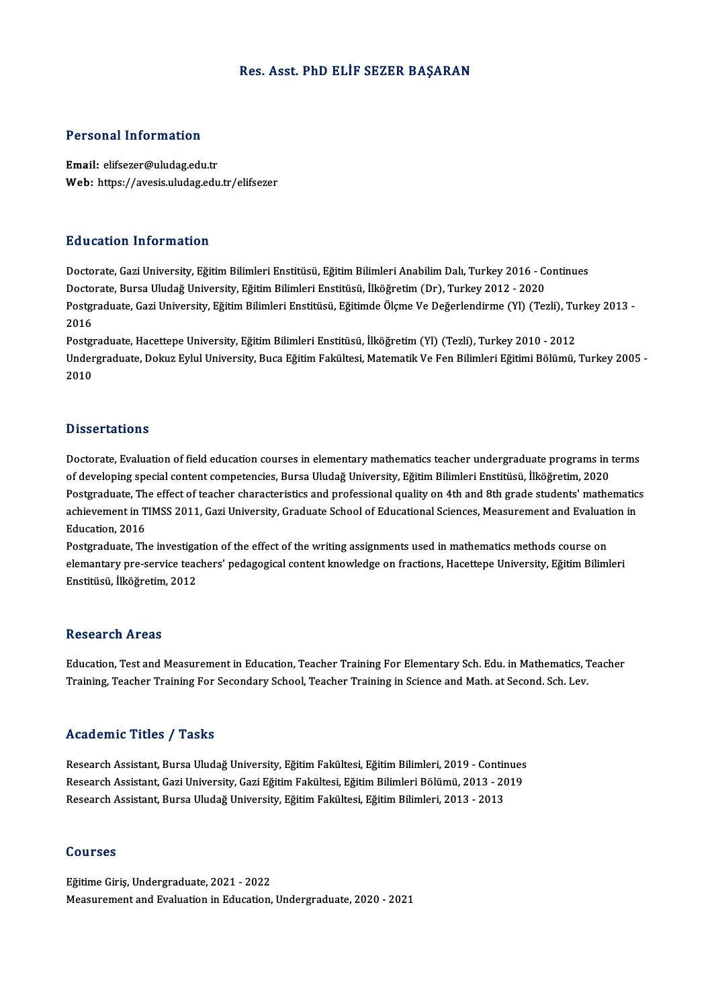## Res. Asst. PhD ELİF SEZER BAŞARAN

## Personal Information

Email: elifsezer@uludag.edu.tr Web: https://avesis.uludag.edu.tr/elifsezer

## Education Information

**Education Information<br>Doctorate, Gazi University, Eğitim Bilimleri Enstitüsü, Eğitim Bilimleri Anabilim Dalı, Turkey 2016 - Continues<br>Doctorate, Burga Uludağ University, Eğitim Bilimleri Enstitüsü, İlköğretim (Dr.), Turke** Doctorate, Gazi University, Eğitim Bilimleri Enstitüsü, Eğitim Bilimleri Anabilim Dalı, Turkey 2016 - Contract<br>Doctorate, Bursa Uludağ University, Eğitim Bilimleri Enstitüsü, İlköğretim (Dr), Turkey 2012 - 2020<br>Bostanaduat Doctorate, Gazi University, Eğitim Bilimleri Enstitüsü, Eğitim Bilimleri Anabilim Dalı, Turkey 2016 - Continues<br>Doctorate, Bursa Uludağ University, Eğitim Bilimleri Enstitüsü, İlköğretim (Dr), Turkey 2012 - 2020<br>Postgradua Docto<br>Postgi<br>2016<br>Postgi Postgraduate, Gazi University, Eğitim Bilimleri Enstitüsü, Eğitimde Ölçme Ve Değerlendirme (Yl) (Tezli), Tu<br>2016<br>Postgraduate, Hacettepe University, Eğitim Bilimleri Enstitüsü, İlköğretim (Yl) (Tezli), Turkey 2010 - 2012<br>U

2016<br>Postgraduate, Hacettepe University, Eğitim Bilimleri Enstitüsü, İlköğretim (Yl) (Tezli), Turkey 2010 - 2012<br>Undergraduate, Dokuz Eylul University, Buca Eğitim Fakültesi, Matematik Ve Fen Bilimleri Eğitimi Bölümü, Turk Postgraduate, Hacettepe University, Eğitim Bilimleri Enstitüsü, İlköğretim (Yl) (Tezli), Turkey 2010 - 2012

## **Dissertations**

Doctorate, Evaluation of field education courses in elementary mathematics teacher undergraduate programs in terms of developing<br>Doctorate, Evaluation of field education courses in elementary mathematics teacher undergraduate programs in<br>On developing special content competencies, Bursa Uludağ University, Eğitim Bilimleri Enstitüsü, İl Doctorate, Evaluation of field education courses in elementary mathematics teacher undergraduate programs in terms<br>of developing special content competencies, Bursa Uludağ University, Eğitim Bilimleri Enstitüsü, İlköğretim of developing special content competencies, Bursa Uludağ University, Eğitim Bilimleri Enstitüsü, İlköğretim, 2020<br>Postgraduate, The effect of teacher characteristics and professional quality on 4th and 8th grade students' Postgraduate, Th<br>achievement in T<br>Education, 2016<br>Postgraduate, Th achievement in TIMSS 2011, Gazi University, Graduate School of Educational Sciences, Measurement and Evaluati<br>Education, 2016<br>Postgraduate, The investigation of the effect of the writing assignments used in mathematics met

Education, 2016<br>Postgraduate, The investigation of the effect of the writing assignments used in mathematics methods course on<br>elemantary pre-service teachers' pedagogical content knowledge on fractions, Hacettepe Universi Enstitüsü, İlköğretim,2012

## **Research Areas**

Education, Test and Measurement in Education, Teacher Training For Elementary Sch. Edu. in Mathematics, Teacher Training, Teacher Training For Secondary School, Teacher Training in Science and Math. at Second. Sch. Lev.

# Academic Titles / Tasks

Academic Titles / Tasks<br>Research Assistant, Bursa Uludağ University, Eğitim Fakültesi, Eğitim Bilimleri, 2019 - Continues<br>Besearch Assistant, Cari University, Cari Eğitim Fakültesi, Eğitim Bilimleri Bölümü, 2012, 2019 rsearch Assistant, Bursa Uludağ University, Eğitim Fakültesi, Eğitim Bilimleri, 2019 - Continues<br>Research Assistant, Gazi University, Gazi Eğitim Fakültesi, Eğitim Bilimleri Bölümü, 2013 - 2019<br>Bosearch Assistant, Bursa Ul Research Assistant, Bursa Uludağ University, Eğitim Fakültesi, Eğitim Bilimleri, 2019 - Contir<br>Research Assistant, Gazi University, Gazi Eğitim Fakültesi, Eğitim Bilimleri Bölümü, 2013 - 20<br>Research Assistant, Bursa Uludağ Research Assistant, Bursa Uludağ University, Eğitim Fakültesi, Eğitim Bilimleri, 2013 - 2013<br>Courses

Eğitime Giriş, Undergraduate, 2021 - 2022 Measurement and Evaluation in Education, Undergraduate, 2020 - 2021